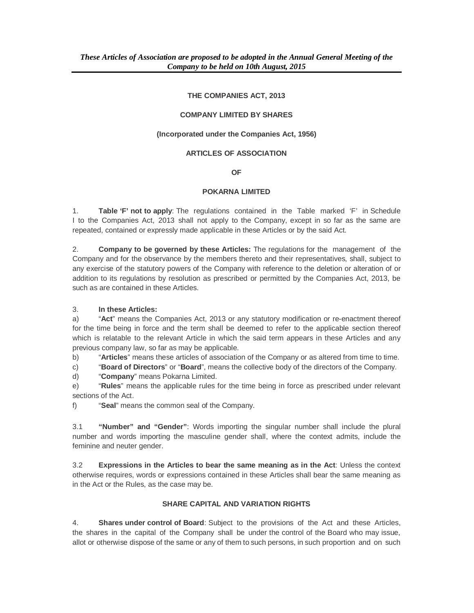#### **THE COMPANIES ACT, 2013**

#### **COMPANY LIMITED BY SHARES**

#### **(Incorporated under the Companies Act, 1956)**

#### **ARTICLES OF ASSOCIATION**

#### **OF**

#### **POKARNA LIMITED**

1. **Table 'F' not to apply**: The regulations contained in the Table marked 'F' in Schedule I to the Companies Act, 2013 shall not apply to the Company, except in so far as the same are repeated, contained or expressly made applicable in these Articles or by the said Act.

2. **Company to be governed by these Articles:** The regulations for the management of the Company and for the observance by the members thereto and their representatives, shall, subject to any exercise of the statutory powers of the Company with reference to the deletion or alteration of or addition to its regulations by resolution as prescribed or permitted by the Companies Act, 2013, be such as are contained in these Articles.

#### 3. **In these Articles:**

a) "**Act**" means the Companies Act, 2013 or any statutory modification or re-enactment thereof for the time being in force and the term shall be deemed to refer to the applicable section thereof which is relatable to the relevant Article in which the said term appears in these Articles and any previous company law, so far as may be applicable.

b) "**Articles**" means these articles of association of the Company or as altered from time to time.

c) "**Board of Directors**" or "**Board**", means the collective body of the directors of the Company.

d) "**Company**" means Pokarna Limited.

e) "**Rules**" means the applicable rules for the time being in force as prescribed under relevant sections of the Act.

f) "**Seal**" means the common seal of the Company.

3.1 **"Number" and "Gender"**: Words importing the singular number shall include the plural number and words importing the masculine gender shall, where the context admits, include the feminine and neuter gender.

3.2 **Expressions in the Articles to bear the same meaning as in the Act**: Unless the context otherwise requires, words or expressions contained in these Articles shall bear the same meaning as in the Act or the Rules, as the case may be.

### **SHARE CAPITAL AND VARIATION RIGHTS**

4. **Shares under control of Board**: Subject to the provisions of the Act and these Articles, the shares in the capital of the Company shall be under the control of the Board who may issue, allot or otherwise dispose of the same or any of them to such persons, in such proportion and on such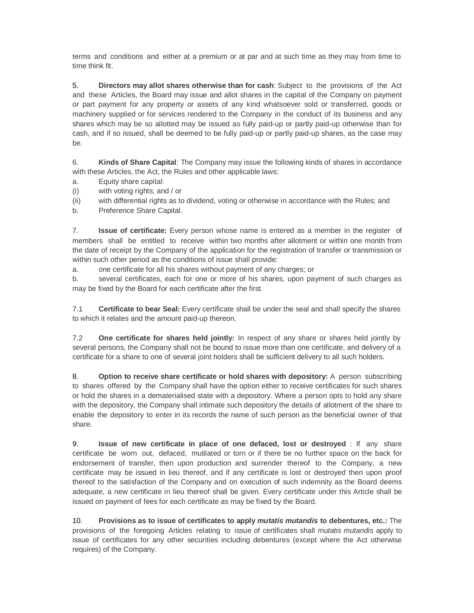terms and conditions and either at a premium or at par and at such time as they may from time to time think fit.

5. **Directors may allot shares otherwise than for cash**: Subject to the provisions of the Act and these Articles, the Board may issue and allot shares in the capital of the Company on payment or part payment for any property or assets of any kind whatsoever sold or transferred, goods or machinery supplied or for services rendered to the Company in the conduct of its business and any shares which may be so allotted may be issued as fully paid-up or partly paid-up otherwise than for cash, and if so issued, shall be deemed to be fully paid-up or partly paid-up shares, as the case may be.

6. **Kinds of Share Capital**: The Company may issue the following kinds of shares in accordance with these Articles, the Act, the Rules and other applicable laws:

- a. Equity share capital:
- (i) with voting rights; and / or
- (ii) with differential rights as to dividend, voting or otherwise in accordance with the Rules; and
- b. Preference Share Capital.

7. **Issue of certificate:** Every person whose name is entered as a member in the register of members shall be entitled to receive within two months after allotment or within one month from the date of receipt by the Company of the application for the registration of transfer or transmission or within such other period as the conditions of issue shall provide:

a. one certificate for all his shares without payment of any charges; or

b. several certificates, each for one or more of his shares, upon payment of such charges as may be fixed by the Board for each certificate after the first.

7.1 **Certificate to bear Seal:** Every certificate shall be under the seal and shall specify the shares to which it relates and the amount paid-up thereon.

7.2 **One certificate for shares held jointly:** In respect of any share or shares held jointly by several persons, the Company shall not be bound to issue more than one certificate, and delivery of a certificate for a share to one of several joint holders shall be sufficient delivery to all such holders.

8. **Option to receive share certificate or hold shares with depository:** A person subscribing to shares offered by the Company shall have the option either to receive certificates for such shares or hold the shares in a dematerialised state with a depository. Where a person opts to hold any share with the depository, the Company shall intimate such depository the details of allotment of the share to enable the depository to enter in its records the name of such person as the beneficial owner of that share.

9. **Issue of new certificate in place of one defaced, lost or destroyed** : If any share certificate be worn out, defaced, mutilated or torn or if there be no further space on the back for endorsement of transfer, then upon production and surrender thereof to the Company, a new certificate may be issued in lieu thereof, and if any certificate is lost or destroyed then upon proof thereof to the satisfaction of the Company and on execution of such indemnity as the Board deems adequate, a new certificate in lieu thereof shall be given. Every certificate under this Article shall be issued on payment of fees for each certificate as may be fixed by the Board.

10. **Provisions as to issue of certificates to apply** *mutatis mutandis* **to debentures, etc.:** The provisions of the foregoing Articles relating to issue of certificates shall *mutatis mutandis* apply to issue of certificates for any other securities including debentures (except where the Act otherwise requires) of the Company.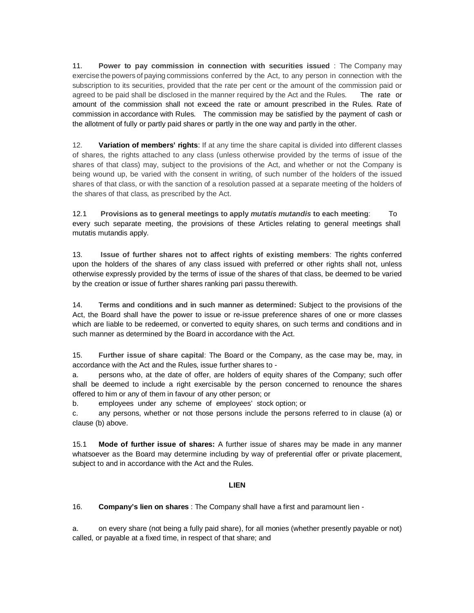11. **Power to pay commission in connection with securities issued** : The Company may exercise the powers of paying commissions conferred by the Act, to any person in connection with the subscription to its securities, provided that the rate per cent or the amount of the commission paid or agreed to be paid shall be disclosed in the manner required by the Act and the Rules. The rate or amount of the commission shall not exceed the rate or amount prescribed in the Rules. Rate of commission in accordance with Rules. The commission may be satisfied by the payment of cash or the allotment of fully or partly paid shares or partly in the one way and partly in the other.

12. **Variation of members' rights**: If at any time the share capital is divided into different classes of shares, the rights attached to any class (unless otherwise provided by the terms of issue of the shares of that class) may, subject to the provisions of the Act, and whether or not the Company is being wound up, be varied with the consent in writing, of such number of the holders of the issued shares of that class, or with the sanction of a resolution passed at a separate meeting of the holders of the shares of that class, as prescribed by the Act.

12.1 **Provisions as to general meetings to apply** *mutatis mutandis* **to each meeting**: To every such separate meeting, the provisions of these Articles relating to general meetings shall mutatis mutandis apply.

13. **Issue of further shares not to affect rights of existing members**: The rights conferred upon the holders of the shares of any class issued with preferred or other rights shall not, unless otherwise expressly provided by the terms of issue of the shares of that class, be deemed to be varied by the creation or issue of further shares ranking pari passu therewith.

14. **Terms and conditions and in such manner as determined:** Subject to the provisions of the Act, the Board shall have the power to issue or re-issue preference shares of one or more classes which are liable to be redeemed, or converted to equity shares, on such terms and conditions and in such manner as determined by the Board in accordance with the Act.

15. **Further issue of share capital**: The Board or the Company, as the case may be, may, in accordance with the Act and the Rules, issue further shares to -

a. persons who, at the date of offer, are holders of equity shares of the Company; such offer shall be deemed to include a right exercisable by the person concerned to renounce the shares offered to him or any of them in favour of any other person; or

b. employees under any scheme of employees' stock option; or

c. any persons, whether or not those persons include the persons referred to in clause (a) or clause (b) above.

15.1 **Mode of further issue of shares:** A further issue of shares may be made in any manner whatsoever as the Board may determine including by way of preferential offer or private placement, subject to and in accordance with the Act and the Rules.

### **LIEN**

16. **Company's lien on shares** : The Company shall have a first and paramount lien -

a. on every share (not being a fully paid share), for all monies (whether presently payable or not) called, or payable at a fixed time, in respect of that share; and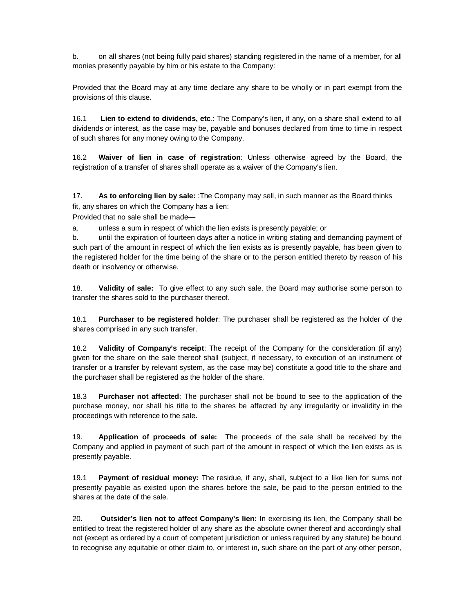b. on all shares (not being fully paid shares) standing registered in the name of a member, for all monies presently payable by him or his estate to the Company:

Provided that the Board may at any time declare any share to be wholly or in part exempt from the provisions of this clause.

16.1 **Lien to extend to dividends, etc**.: The Company's lien, if any, on a share shall extend to all dividends or interest, as the case may be, payable and bonuses declared from time to time in respect of such shares for any money owing to the Company.

16.2 **Waiver of lien in case of registration**: Unless otherwise agreed by the Board, the registration of a transfer of shares shall operate as a waiver of the Company's lien.

17. **As to enforcing lien by sale:** :The Company may sell, in such manner as the Board thinks fit, any shares on which the Company has a lien:

Provided that no sale shall be made—

a. unless a sum in respect of which the lien exists is presently payable; or

b. until the expiration of fourteen days after a notice in writing stating and demanding payment of such part of the amount in respect of which the lien exists as is presently payable, has been given to the registered holder for the time being of the share or to the person entitled thereto by reason of his death or insolvency or otherwise.

18. **Validity of sale:** To give effect to any such sale, the Board may authorise some person to transfer the shares sold to the purchaser thereof.

18.1 **Purchaser to be registered holder**: The purchaser shall be registered as the holder of the shares comprised in any such transfer.

18.2 **Validity of Company's receipt**: The receipt of the Company for the consideration (if any) given for the share on the sale thereof shall (subject, if necessary, to execution of an instrument of transfer or a transfer by relevant system, as the case may be) constitute a good title to the share and the purchaser shall be registered as the holder of the share.

18.3 **Purchaser not affected**: The purchaser shall not be bound to see to the application of the purchase money, nor shall his title to the shares be affected by any irregularity or invalidity in the proceedings with reference to the sale.

19. **Application of proceeds of sale:** The proceeds of the sale shall be received by the Company and applied in payment of such part of the amount in respect of which the lien exists as is presently payable.

19.1 **Payment of residual money:** The residue, if any, shall, subject to a like lien for sums not presently payable as existed upon the shares before the sale, be paid to the person entitled to the shares at the date of the sale.

20. **Outsider's lien not to affect Company's lien:** In exercising its lien, the Company shall be entitled to treat the registered holder of any share as the absolute owner thereof and accordingly shall not (except as ordered by a court of competent jurisdiction or unless required by any statute) be bound to recognise any equitable or other claim to, or interest in, such share on the part of any other person,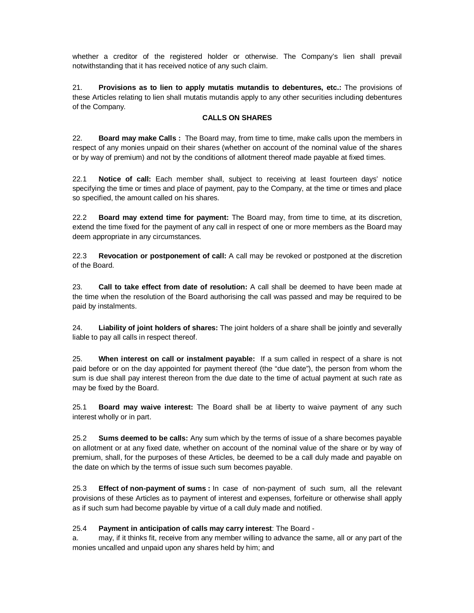whether a creditor of the registered holder or otherwise. The Company's lien shall prevail notwithstanding that it has received notice of any such claim.

21. **Provisions as to lien to apply mutatis mutandis to debentures, etc.:** The provisions of these Articles relating to lien shall mutatis mutandis apply to any other securities including debentures of the Company.

### **CALLS ON SHARES**

22. **Board may make Calls :** The Board may, from time to time, make calls upon the members in respect of any monies unpaid on their shares (whether on account of the nominal value of the shares or by way of premium) and not by the conditions of allotment thereof made payable at fixed times.

22.1 **Notice of call:** Each member shall, subject to receiving at least fourteen days' notice specifying the time or times and place of payment, pay to the Company, at the time or times and place so specified, the amount called on his shares.

22.2 **Board may extend time for payment:** The Board may, from time to time, at its discretion, extend the time fixed for the payment of any call in respect of one or more members as the Board may deem appropriate in any circumstances.

22.3 **Revocation or postponement of call:** A call may be revoked or postponed at the discretion of the Board.

23. **Call to take effect from date of resolution:** A call shall be deemed to have been made at the time when the resolution of the Board authorising the call was passed and may be required to be paid by instalments.

24. **Liability of joint holders of shares:** The joint holders of a share shall be jointly and severally liable to pay all calls in respect thereof.

25. **When interest on call or instalment payable:** If a sum called in respect of a share is not paid before or on the day appointed for payment thereof (the "due date"), the person from whom the sum is due shall pay interest thereon from the due date to the time of actual payment at such rate as may be fixed by the Board.

25.1 **Board may waive interest:** The Board shall be at liberty to waive payment of any such interest wholly or in part.

25.2 **Sums deemed to be calls:** Any sum which by the terms of issue of a share becomes payable on allotment or at any fixed date, whether on account of the nominal value of the share or by way of premium, shall, for the purposes of these Articles, be deemed to be a call duly made and payable on the date on which by the terms of issue such sum becomes payable.

25.3 **Effect of non-payment of sums :** In case of non-payment of such sum, all the relevant provisions of these Articles as to payment of interest and expenses, forfeiture or otherwise shall apply as if such sum had become payable by virtue of a call duly made and notified.

### 25.4 **Payment in anticipation of calls may carry interest**: The Board -

a. may, if it thinks fit, receive from any member willing to advance the same, all or any part of the monies uncalled and unpaid upon any shares held by him; and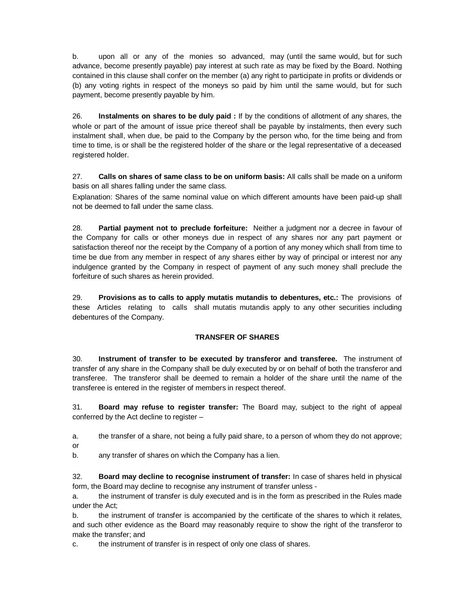b. upon all or any of the monies so advanced, may (until the same would, but for such advance, become presently payable) pay interest at such rate as may be fixed by the Board. Nothing contained in this clause shall confer on the member (a) any right to participate in profits or dividends or (b) any voting rights in respect of the moneys so paid by him until the same would, but for such payment, become presently payable by him.

26. **Instalments on shares to be duly paid :** If by the conditions of allotment of any shares, the whole or part of the amount of issue price thereof shall be payable by instalments, then every such instalment shall, when due, be paid to the Company by the person who, for the time being and from time to time, is or shall be the registered holder of the share or the legal representative of a deceased registered holder.

27. **Calls on shares of same class to be on uniform basis:** All calls shall be made on a uniform basis on all shares falling under the same class.

Explanation: Shares of the same nominal value on which different amounts have been paid-up shall not be deemed to fall under the same class.

28. **Partial payment not to preclude forfeiture:** Neither a judgment nor a decree in favour of the Company for calls or other moneys due in respect of any shares nor any part payment or satisfaction thereof nor the receipt by the Company of a portion of any money which shall from time to time be due from any member in respect of any shares either by way of principal or interest nor any indulgence granted by the Company in respect of payment of any such money shall preclude the forfeiture of such shares as herein provided.

29. **Provisions as to calls to apply mutatis mutandis to debentures, etc.:** The provisions of these Articles relating to calls shall mutatis mutandis apply to any other securities including debentures of the Company.

# **TRANSFER OF SHARES**

30. **Instrument of transfer to be executed by transferor and transferee.** The instrument of transfer of any share in the Company shall be duly executed by or on behalf of both the transferor and transferee. The transferor shall be deemed to remain a holder of the share until the name of the transferee is entered in the register of members in respect thereof.

31. **Board may refuse to register transfer:** The Board may, subject to the right of appeal conferred by the Act decline to register –

a. the transfer of a share, not being a fully paid share, to a person of whom they do not approve; or

b. any transfer of shares on which the Company has a lien.

32. **Board may decline to recognise instrument of transfer:** In case of shares held in physical form, the Board may decline to recognise any instrument of transfer unless -

a. the instrument of transfer is duly executed and is in the form as prescribed in the Rules made under the Act;

b. the instrument of transfer is accompanied by the certificate of the shares to which it relates, and such other evidence as the Board may reasonably require to show the right of the transferor to make the transfer; and

c. the instrument of transfer is in respect of only one class of shares.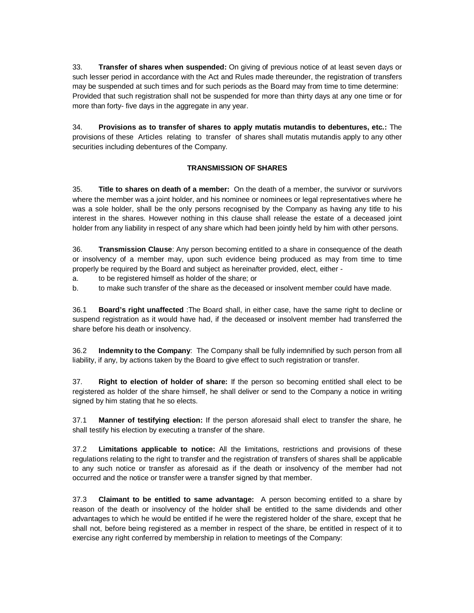33. **Transfer of shares when suspended:** On giving of previous notice of at least seven days or such lesser period in accordance with the Act and Rules made thereunder, the registration of transfers may be suspended at such times and for such periods as the Board may from time to time determine: Provided that such registration shall not be suspended for more than thirty days at any one time or for more than forty- five days in the aggregate in any year.

34. **Provisions as to transfer of shares to apply mutatis mutandis to debentures, etc.:** The provisions of these Articles relating to transfer of shares shall mutatis mutandis apply to any other securities including debentures of the Company.

# **TRANSMISSION OF SHARES**

35. **Title to shares on death of a member:** On the death of a member, the survivor or survivors where the member was a joint holder, and his nominee or nominees or legal representatives where he was a sole holder, shall be the only persons recognised by the Company as having any title to his interest in the shares. However nothing in this clause shall release the estate of a deceased joint holder from any liability in respect of any share which had been jointly held by him with other persons.

36. **Transmission Clause**: Any person becoming entitled to a share in consequence of the death or insolvency of a member may, upon such evidence being produced as may from time to time properly be required by the Board and subject as hereinafter provided, elect, either -

a. to be registered himself as holder of the share; or

b. to make such transfer of the share as the deceased or insolvent member could have made.

36.1 **Board's right unaffected** :The Board shall, in either case, have the same right to decline or suspend registration as it would have had, if the deceased or insolvent member had transferred the share before his death or insolvency.

36.2 **Indemnity to the Company**: The Company shall be fully indemnified by such person from all liability, if any, by actions taken by the Board to give effect to such registration or transfer.

37. **Right to election of holder of share:** If the person so becoming entitled shall elect to be registered as holder of the share himself, he shall deliver or send to the Company a notice in writing signed by him stating that he so elects.

37.1 **Manner of testifying election:** If the person aforesaid shall elect to transfer the share, he shall testify his election by executing a transfer of the share.

37.2 **Limitations applicable to notice:** All the limitations, restrictions and provisions of these regulations relating to the right to transfer and the registration of transfers of shares shall be applicable to any such notice or transfer as aforesaid as if the death or insolvency of the member had not occurred and the notice or transfer were a transfer signed by that member.

37.3 **Claimant to be entitled to same advantage:** A person becoming entitled to a share by reason of the death or insolvency of the holder shall be entitled to the same dividends and other advantages to which he would be entitled if he were the registered holder of the share, except that he shall not, before being registered as a member in respect of the share, be entitled in respect of it to exercise any right conferred by membership in relation to meetings of the Company: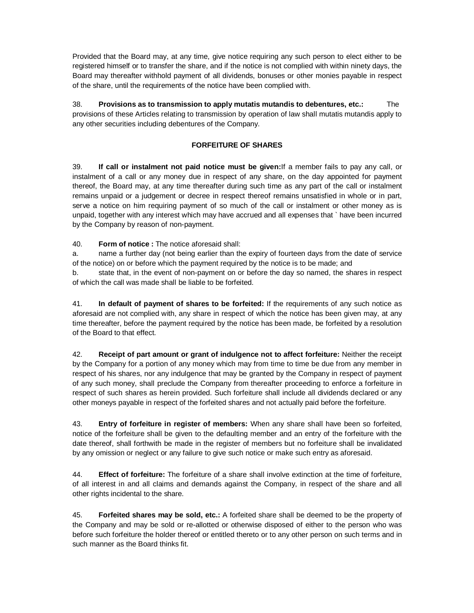Provided that the Board may, at any time, give notice requiring any such person to elect either to be registered himself or to transfer the share, and if the notice is not complied with within ninety days, the Board may thereafter withhold payment of all dividends, bonuses or other monies payable in respect of the share, until the requirements of the notice have been complied with.

38. **Provisions as to transmission to apply mutatis mutandis to debentures, etc.:** The provisions of these Articles relating to transmission by operation of law shall mutatis mutandis apply to any other securities including debentures of the Company.

# **FORFEITURE OF SHARES**

39. **If call or instalment not paid notice must be given:**If a member fails to pay any call, or instalment of a call or any money due in respect of any share, on the day appointed for payment thereof, the Board may, at any time thereafter during such time as any part of the call or instalment remains unpaid or a judgement or decree in respect thereof remains unsatisfied in whole or in part, serve a notice on him requiring payment of so much of the call or instalment or other money as is unpaid, together with any interest which may have accrued and all expenses that ` have been incurred by the Company by reason of non-payment.

40. **Form of notice :** The notice aforesaid shall:

a. name a further day (not being earlier than the expiry of fourteen days from the date of service of the notice) on or before which the payment required by the notice is to be made; and

b. state that, in the event of non-payment on or before the day so named, the shares in respect of which the call was made shall be liable to be forfeited.

41. **In default of payment of shares to be forfeited:** If the requirements of any such notice as aforesaid are not complied with, any share in respect of which the notice has been given may, at any time thereafter, before the payment required by the notice has been made, be forfeited by a resolution of the Board to that effect.

42. **Receipt of part amount or grant of indulgence not to affect forfeiture:** Neither the receipt by the Company for a portion of any money which may from time to time be due from any member in respect of his shares, nor any indulgence that may be granted by the Company in respect of payment of any such money, shall preclude the Company from thereafter proceeding to enforce a forfeiture in respect of such shares as herein provided. Such forfeiture shall include all dividends declared or any other moneys payable in respect of the forfeited shares and not actually paid before the forfeiture.

43. **Entry of forfeiture in register of members:** When any share shall have been so forfeited, notice of the forfeiture shall be given to the defaulting member and an entry of the forfeiture with the date thereof, shall forthwith be made in the register of members but no forfeiture shall be invalidated by any omission or neglect or any failure to give such notice or make such entry as aforesaid.

44. **Effect of forfeiture:** The forfeiture of a share shall involve extinction at the time of forfeiture, of all interest in and all claims and demands against the Company, in respect of the share and all other rights incidental to the share.

45. **Forfeited shares may be sold, etc.:** A forfeited share shall be deemed to be the property of the Company and may be sold or re-allotted or otherwise disposed of either to the person who was before such forfeiture the holder thereof or entitled thereto or to any other person on such terms and in such manner as the Board thinks fit.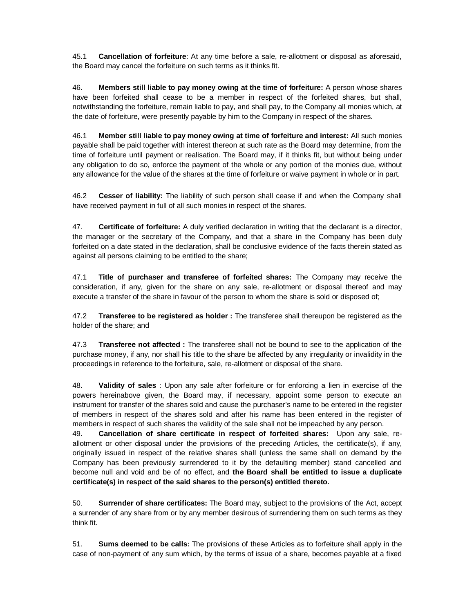45.1 **Cancellation of forfeiture**: At any time before a sale, re-allotment or disposal as aforesaid, the Board may cancel the forfeiture on such terms as it thinks fit.

46. **Members still liable to pay money owing at the time of forfeiture:** A person whose shares have been forfeited shall cease to be a member in respect of the forfeited shares, but shall, notwithstanding the forfeiture, remain liable to pay, and shall pay, to the Company all monies which, at the date of forfeiture, were presently payable by him to the Company in respect of the shares.

46.1 **Member still liable to pay money owing at time of forfeiture and interest:** All such monies payable shall be paid together with interest thereon at such rate as the Board may determine, from the time of forfeiture until payment or realisation. The Board may, if it thinks fit, but without being under any obligation to do so, enforce the payment of the whole or any portion of the monies due, without any allowance for the value of the shares at the time of forfeiture or waive payment in whole or in part.

46.2 **Cesser of liability:** The liability of such person shall cease if and when the Company shall have received payment in full of all such monies in respect of the shares.

47. **Certificate of forfeiture:** A duly verified declaration in writing that the declarant is a director, the manager or the secretary of the Company, and that a share in the Company has been duly forfeited on a date stated in the declaration, shall be conclusive evidence of the facts therein stated as against all persons claiming to be entitled to the share;

47.1 **Title of purchaser and transferee of forfeited shares:** The Company may receive the consideration, if any, given for the share on any sale, re-allotment or disposal thereof and may execute a transfer of the share in favour of the person to whom the share is sold or disposed of;

47.2 **Transferee to be registered as holder :** The transferee shall thereupon be registered as the holder of the share; and

47.3 **Transferee not affected :** The transferee shall not be bound to see to the application of the purchase money, if any, nor shall his title to the share be affected by any irregularity or invalidity in the proceedings in reference to the forfeiture, sale, re-allotment or disposal of the share.

48. **Validity of sales** : Upon any sale after forfeiture or for enforcing a lien in exercise of the powers hereinabove given, the Board may, if necessary, appoint some person to execute an instrument for transfer of the shares sold and cause the purchaser's name to be entered in the register of members in respect of the shares sold and after his name has been entered in the register of members in respect of such shares the validity of the sale shall not be impeached by any person.

49. **Cancellation of share certificate in respect of forfeited shares:** Upon any sale, reallotment or other disposal under the provisions of the preceding Articles, the certificate(s), if any, originally issued in respect of the relative shares shall (unless the same shall on demand by the Company has been previously surrendered to it by the defaulting member) stand cancelled and become null and void and be of no effect, and **the Board shall be entitled to issue a duplicate certificate(s) in respect of the said shares to the person(s) entitled thereto.**

50. **Surrender of share certificates:** The Board may, subject to the provisions of the Act, accept a surrender of any share from or by any member desirous of surrendering them on such terms as they think fit.

51. **Sums deemed to be calls:** The provisions of these Articles as to forfeiture shall apply in the case of non-payment of any sum which, by the terms of issue of a share, becomes payable at a fixed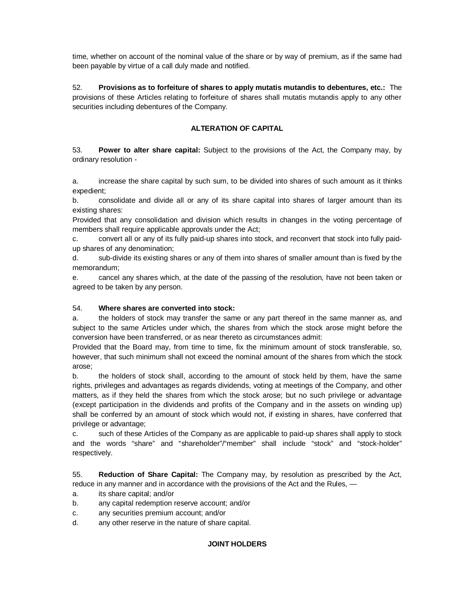time, whether on account of the nominal value of the share or by way of premium, as if the same had been payable by virtue of a call duly made and notified.

52. **Provisions as to forfeiture of shares to apply mutatis mutandis to debentures, etc.:** The provisions of these Articles relating to forfeiture of shares shall mutatis mutandis apply to any other securities including debentures of the Company.

# **ALTERATION OF CAPITAL**

53. **Power to alter share capital:** Subject to the provisions of the Act, the Company may, by ordinary resolution -

a. increase the share capital by such sum, to be divided into shares of such amount as it thinks expedient;

b. consolidate and divide all or any of its share capital into shares of larger amount than its existing shares:

Provided that any consolidation and division which results in changes in the voting percentage of members shall require applicable approvals under the Act;

c. convert all or any of its fully paid-up shares into stock, and reconvert that stock into fully paidup shares of any denomination;

d. sub-divide its existing shares or any of them into shares of smaller amount than is fixed by the memorandum;

e. cancel any shares which, at the date of the passing of the resolution, have not been taken or agreed to be taken by any person.

### 54. **Where shares are converted into stock:**

a. the holders of stock may transfer the same or any part thereof in the same manner as, and subject to the same Articles under which, the shares from which the stock arose might before the conversion have been transferred, or as near thereto as circumstances admit:

Provided that the Board may, from time to time, fix the minimum amount of stock transferable, so, however, that such minimum shall not exceed the nominal amount of the shares from which the stock arose;

b. the holders of stock shall, according to the amount of stock held by them, have the same rights, privileges and advantages as regards dividends, voting at meetings of the Company, and other matters, as if they held the shares from which the stock arose; but no such privilege or advantage (except participation in the dividends and profits of the Company and in the assets on winding up) shall be conferred by an amount of stock which would not, if existing in shares, have conferred that privilege or advantage;

c. such of these Articles of the Company as are applicable to paid-up shares shall apply to stock and the words "share" and "shareholder"/"member" shall include "stock" and "stock-holder" respectively.

55. **Reduction of Share Capital:** The Company may, by resolution as prescribed by the Act, reduce in any manner and in accordance with the provisions of the Act and the Rules, —

- a. its share capital; and/or
- b. any capital redemption reserve account; and/or
- c. any securities premium account; and/or
- d. any other reserve in the nature of share capital.

### **JOINT HOLDERS**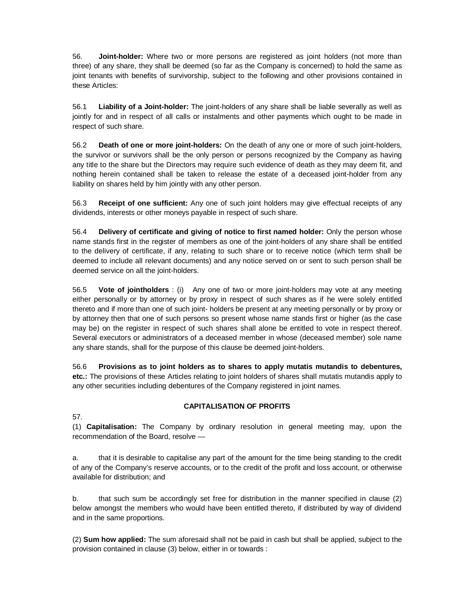56. **Joint-holder:** Where two or more persons are registered as joint holders (not more than three) of any share, they shall be deemed (so far as the Company is concerned) to hold the same as joint tenants with benefits of survivorship, subject to the following and other provisions contained in these Articles:

56.1 **Liability of a Joint-holder:** The joint-holders of any share shall be liable severally as well as jointly for and in respect of all calls or instalments and other payments which ought to be made in respect of such share.

56.2 **Death of one or more joint-holders:** On the death of any one or more of such joint-holders, the survivor or survivors shall be the only person or persons recognized by the Company as having any title to the share but the Directors may require such evidence of death as they may deem fit, and nothing herein contained shall be taken to release the estate of a deceased joint-holder from any liability on shares held by him jointly with any other person.

56.3 **Receipt of one sufficient:** Any one of such joint holders may give effectual receipts of any dividends, interests or other moneys payable in respect of such share.

56.4 **Delivery of certificate and giving of notice to first named holder:** Only the person whose name stands first in the register of members as one of the joint-holders of any share shall be entitled to the delivery of certificate, if any, relating to such share or to receive notice (which term shall be deemed to include all relevant documents) and any notice served on or sent to such person shall be deemed service on all the joint-holders.

56.5 **Vote of jointholders** : (i) Any one of two or more joint-holders may vote at any meeting either personally or by attorney or by proxy in respect of such shares as if he were solely entitled thereto and if more than one of such joint- holders be present at any meeting personally or by proxy or by attorney then that one of such persons so present whose name stands first or higher (as the case may be) on the register in respect of such shares shall alone be entitled to vote in respect thereof. Several executors or administrators of a deceased member in whose (deceased member) sole name any share stands, shall for the purpose of this clause be deemed joint-holders.

56.6 **Provisions as to joint holders as to shares to apply mutatis mutandis to debentures, etc.:** The provisions of these Articles relating to joint holders of shares shall mutatis mutandis apply to any other securities including debentures of the Company registered in joint names.

# **CAPITALISATION OF PROFITS**

57.

(1) **Capitalisation:** The Company by ordinary resolution in general meeting may, upon the recommendation of the Board, resolve —

a. that it is desirable to capitalise any part of the amount for the time being standing to the credit of any of the Company's reserve accounts, or to the credit of the profit and loss account, or otherwise available for distribution; and

b. that such sum be accordingly set free for distribution in the manner specified in clause (2) below amongst the members who would have been entitled thereto, if distributed by way of dividend and in the same proportions.

(2) **Sum how applied:** The sum aforesaid shall not be paid in cash but shall be applied, subject to the provision contained in clause (3) below, either in or towards :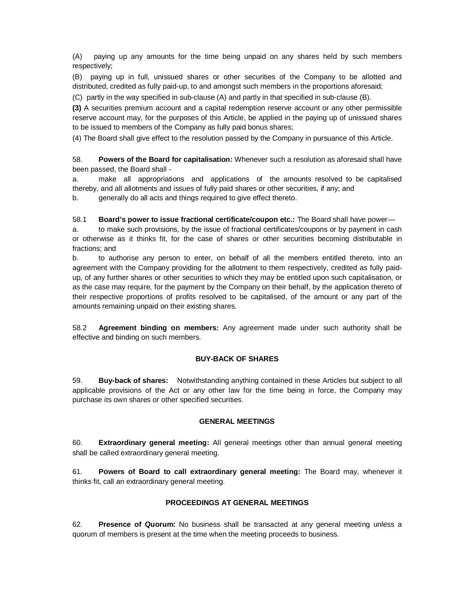(A) paying up any amounts for the time being unpaid on any shares held by such members respectively;

(B) paying up in full, unissued shares or other securities of the Company to be allotted and distributed, credited as fully paid-up, to and amongst such members in the proportions aforesaid;

(C) partly in the way specified in sub-clause (A) and partly in that specified in sub-clause (B).

**(3)** A securities premium account and a capital redemption reserve account or any other permissible reserve account may, for the purposes of this Article, be applied in the paying up of unissued shares to be issued to members of the Company as fully paid bonus shares;

(4) The Board shall give effect to the resolution passed by the Company in pursuance of this Article.

58. **Powers of the Board for capitalisation:** Whenever such a resolution as aforesaid shall have been passed, the Board shall -

a. make all appropriations and applications of the amounts resolved to be capitalised thereby, and all allotments and issues of fully paid shares or other securities, if any; and

b. generally do all acts and things required to give effect thereto.

58.1 **Board's power to issue fractional certificate/coupon etc.:** The Board shall have power—

a. to make such provisions, by the issue of fractional certificates/coupons or by payment in cash or otherwise as it thinks fit, for the case of shares or other securities becoming distributable in fractions; and

b. to authorise any person to enter, on behalf of all the members entitled thereto, into an agreement with the Company providing for the allotment to them respectively, credited as fully paidup, of any further shares or other securities to which they may be entitled upon such capitalisation, or as the case may require, for the payment by the Company on their behalf, by the application thereto of their respective proportions of profits resolved to be capitalised, of the amount or any part of the amounts remaining unpaid on their existing shares.

58.2 **Agreement binding on members:** Any agreement made under such authority shall be effective and binding on such members.

### **BUY-BACK OF SHARES**

59. **Buy-back of shares:** Notwithstanding anything contained in these Articles but subject to all applicable provisions of the Act or any other law for the time being in force, the Company may purchase its own shares or other specified securities.

### **GENERAL MEETINGS**

60. **Extraordinary general meeting:** All general meetings other than annual general meeting shall be called extraordinary general meeting.

61. **Powers of Board to call extraordinary general meeting:** The Board may, whenever it thinks fit, call an extraordinary general meeting.

### **PROCEEDINGS AT GENERAL MEETINGS**

62. **Presence of Quorum:** No business shall be transacted at any general meeting unless a quorum of members is present at the time when the meeting proceeds to business.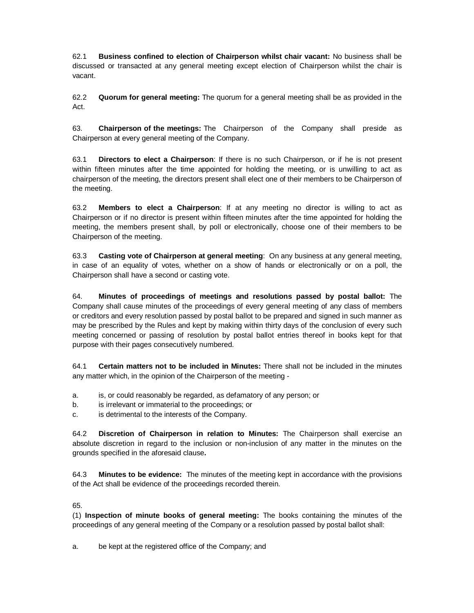62.1 **Business confined to election of Chairperson whilst chair vacant:** No business shall be discussed or transacted at any general meeting except election of Chairperson whilst the chair is vacant.

62.2 **Quorum for general meeting:** The quorum for a general meeting shall be as provided in the Act.

63. **Chairperson of the meetings:** The Chairperson of the Company shall preside as Chairperson at every general meeting of the Company.

63.1 **Directors to elect a Chairperson**: If there is no such Chairperson, or if he is not present within fifteen minutes after the time appointed for holding the meeting, or is unwilling to act as chairperson of the meeting, the directors present shall elect one of their members to be Chairperson of the meeting.

63.2 **Members to elect a Chairperson**: If at any meeting no director is willing to act as Chairperson or if no director is present within fifteen minutes after the time appointed for holding the meeting, the members present shall, by poll or electronically, choose one of their members to be Chairperson of the meeting.

63.3 **Casting vote of Chairperson at general meeting**: On any business at any general meeting, in case of an equality of votes, whether on a show of hands or electronically or on a poll, the Chairperson shall have a second or casting vote.

64. **Minutes of proceedings of meetings and resolutions passed by postal ballot:** The Company shall cause minutes of the proceedings of every general meeting of any class of members or creditors and every resolution passed by postal ballot to be prepared and signed in such manner as may be prescribed by the Rules and kept by making within thirty days of the conclusion of every such meeting concerned or passing of resolution by postal ballot entries thereof in books kept for that purpose with their pages consecutively numbered.

64.1 **Certain matters not to be included in Minutes:** There shall not be included in the minutes any matter which, in the opinion of the Chairperson of the meeting -

- a. is, or could reasonably be regarded, as defamatory of any person; or
- b. is irrelevant or immaterial to the proceedings; or
- c. is detrimental to the interests of the Company.

64.2 **Discretion of Chairperson in relation to Minutes:** The Chairperson shall exercise an absolute discretion in regard to the inclusion or non-inclusion of any matter in the minutes on the grounds specified in the aforesaid clause**.**

64.3 **Minutes to be evidence:** The minutes of the meeting kept in accordance with the provisions of the Act shall be evidence of the proceedings recorded therein.

65.

(1) **Inspection of minute books of general meeting:** The books containing the minutes of the proceedings of any general meeting of the Company or a resolution passed by postal ballot shall:

a. be kept at the registered office of the Company; and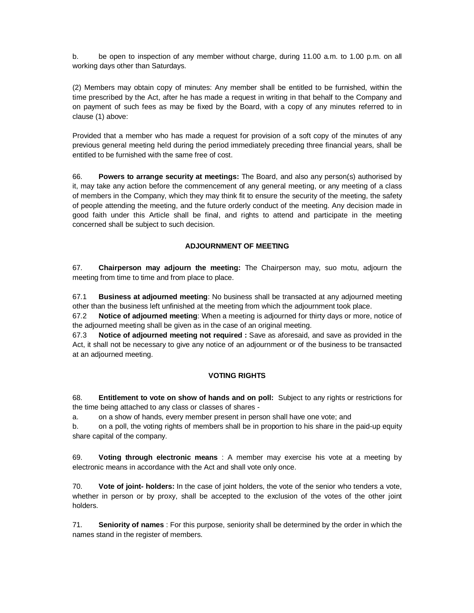b. be open to inspection of any member without charge, during 11.00 a.m. to 1.00 p.m. on all working days other than Saturdays.

(2) Members may obtain copy of minutes: Any member shall be entitled to be furnished, within the time prescribed by the Act, after he has made a request in writing in that behalf to the Company and on payment of such fees as may be fixed by the Board, with a copy of any minutes referred to in clause (1) above:

Provided that a member who has made a request for provision of a soft copy of the minutes of any previous general meeting held during the period immediately preceding three financial years, shall be entitled to be furnished with the same free of cost.

66. **Powers to arrange security at meetings:** The Board, and also any person(s) authorised by it, may take any action before the commencement of any general meeting, or any meeting of a class of members in the Company, which they may think fit to ensure the security of the meeting, the safety of people attending the meeting, and the future orderly conduct of the meeting. Any decision made in good faith under this Article shall be final, and rights to attend and participate in the meeting concerned shall be subject to such decision.

### **ADJOURNMENT OF MEETING**

67. **Chairperson may adjourn the meeting:** The Chairperson may, suo motu, adjourn the meeting from time to time and from place to place.

67.1 **Business at adjourned meeting**: No business shall be transacted at any adjourned meeting other than the business left unfinished at the meeting from which the adjournment took place.

67.2 **Notice of adjourned meeting**: When a meeting is adjourned for thirty days or more, notice of the adjourned meeting shall be given as in the case of an original meeting.

67.3 **Notice of adjourned meeting not required :** Save as aforesaid, and save as provided in the Act, it shall not be necessary to give any notice of an adjournment or of the business to be transacted at an adjourned meeting.

### **VOTING RIGHTS**

68. **Entitlement to vote on show of hands and on poll:** Subject to any rights or restrictions for the time being attached to any class or classes of shares -

a. on a show of hands, every member present in person shall have one vote; and

b. on a poll, the voting rights of members shall be in proportion to his share in the paid-up equity share capital of the company.

69. **Voting through electronic means** : A member may exercise his vote at a meeting by electronic means in accordance with the Act and shall vote only once.

70. **Vote of joint- holders:** In the case of joint holders, the vote of the senior who tenders a vote, whether in person or by proxy, shall be accepted to the exclusion of the votes of the other joint holders.

71. **Seniority of names** : For this purpose, seniority shall be determined by the order in which the names stand in the register of members.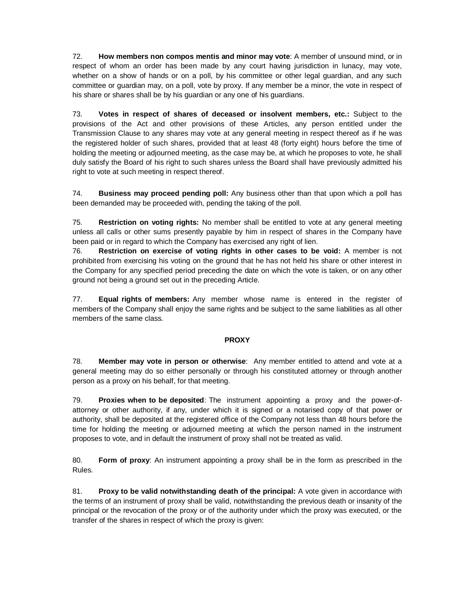72. **How members non compos mentis and minor may vote**: A member of unsound mind, or in respect of whom an order has been made by any court having jurisdiction in lunacy, may vote, whether on a show of hands or on a poll, by his committee or other legal guardian, and any such committee or guardian may, on a poll, vote by proxy. If any member be a minor, the vote in respect of his share or shares shall be by his guardian or any one of his guardians.

73. **Votes in respect of shares of deceased or insolvent members, etc.:** Subject to the provisions of the Act and other provisions of these Articles, any person entitled under the Transmission Clause to any shares may vote at any general meeting in respect thereof as if he was the registered holder of such shares, provided that at least 48 (forty eight) hours before the time of holding the meeting or adjourned meeting, as the case may be, at which he proposes to vote, he shall duly satisfy the Board of his right to such shares unless the Board shall have previously admitted his right to vote at such meeting in respect thereof.

74. **Business may proceed pending poll:** Any business other than that upon which a poll has been demanded may be proceeded with, pending the taking of the poll.

75. **Restriction on voting rights:** No member shall be entitled to vote at any general meeting unless all calls or other sums presently payable by him in respect of shares in the Company have been paid or in regard to which the Company has exercised any right of lien.

76. **Restriction on exercise of voting rights in other cases to be void:** A member is not prohibited from exercising his voting on the ground that he has not held his share or other interest in the Company for any specified period preceding the date on which the vote is taken, or on any other ground not being a ground set out in the preceding Article.

77. **Equal rights of members:** Any member whose name is entered in the register of members of the Company shall enjoy the same rights and be subject to the same liabilities as all other members of the same class.

### **PROXY**

78. **Member may vote in person or otherwise**: Any member entitled to attend and vote at a general meeting may do so either personally or through his constituted attorney or through another person as a proxy on his behalf, for that meeting.

79. **Proxies when to be deposited**: The instrument appointing a proxy and the power-ofattorney or other authority, if any, under which it is signed or a notarised copy of that power or authority, shall be deposited at the registered office of the Company not less than 48 hours before the time for holding the meeting or adjourned meeting at which the person named in the instrument proposes to vote, and in default the instrument of proxy shall not be treated as valid.

80. **Form of proxy**: An instrument appointing a proxy shall be in the form as prescribed in the Rules.

81. **Proxy to be valid notwithstanding death of the principal:** A vote given in accordance with the terms of an instrument of proxy shall be valid, notwithstanding the previous death or insanity of the principal or the revocation of the proxy or of the authority under which the proxy was executed, or the transfer of the shares in respect of which the proxy is given: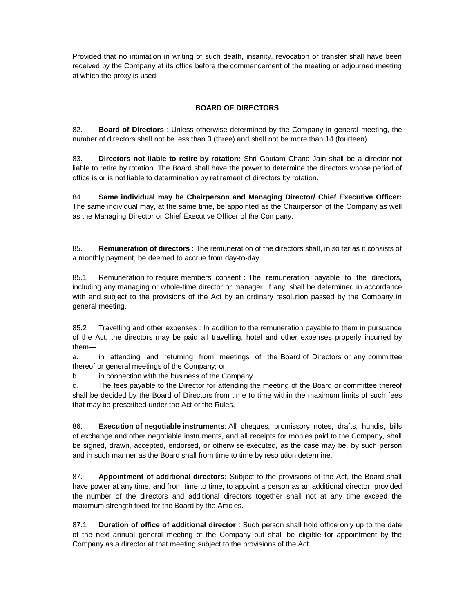Provided that no intimation in writing of such death, insanity, revocation or transfer shall have been received by the Company at its office before the commencement of the meeting or adjourned meeting at which the proxy is used.

# **BOARD OF DIRECTORS**

82. **Board of Directors** : Unless otherwise determined by the Company in general meeting, the number of directors shall not be less than 3 (three) and shall not be more than 14 (fourteen).

83. **Directors not liable to retire by rotation:** Shri Gautam Chand Jain shall be a director not liable to retire by rotation. The Board shall have the power to determine the directors whose period of office is or is not liable to determination by retirement of directors by rotation.

84. **Same individual may be Chairperson and Managing Director/ Chief Executive Officer:** The same individual may, at the same time, be appointed as the Chairperson of the Company as well as the Managing Director or Chief Executive Officer of the Company.

85. **Remuneration of directors** : The remuneration of the directors shall, in so far as it consists of a monthly payment, be deemed to accrue from day-to-day.

85.1 Remuneration to require members' consent : The remuneration payable to the directors, including any managing or whole-time director or manager, if any, shall be determined in accordance with and subject to the provisions of the Act by an ordinary resolution passed by the Company in general meeting.

85.2 Travelling and other expenses : In addition to the remuneration payable to them in pursuance of the Act, the directors may be paid all travelling, hotel and other expenses properly incurred by them—

a. in attending and returning from meetings of the Board of Directors or any committee thereof or general meetings of the Company; or

b. in connection with the business of the Company.

c. The fees payable to the Director for attending the meeting of the Board or committee thereof shall be decided by the Board of Directors from time to time within the maximum limits of such fees that may be prescribed under the Act or the Rules.

86. **Execution of negotiable instruments**: All cheques, promissory notes, drafts, hundis, bills of exchange and other negotiable instruments, and all receipts for monies paid to the Company, shall be signed, drawn, accepted, endorsed, or otherwise executed, as the case may be, by such person and in such manner as the Board shall from time to time by resolution determine.

87. **Appointment of additional directors:** Subject to the provisions of the Act, the Board shall have power at any time, and from time to time, to appoint a person as an additional director, provided the number of the directors and additional directors together shall not at any time exceed the maximum strength fixed for the Board by the Articles.

87.1 **Duration of office of additional director** : Such person shall hold office only up to the date of the next annual general meeting of the Company but shall be eligible for appointment by the Company as a director at that meeting subject to the provisions of the Act.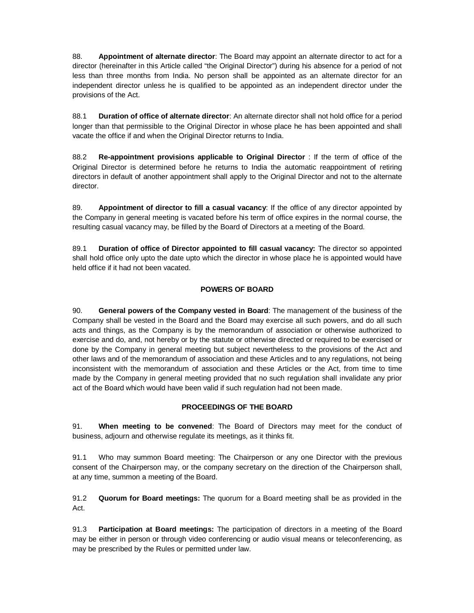88. **Appointment of alternate director**: The Board may appoint an alternate director to act for a director (hereinafter in this Article called "the Original Director") during his absence for a period of not less than three months from India. No person shall be appointed as an alternate director for an independent director unless he is qualified to be appointed as an independent director under the provisions of the Act.

88.1 **Duration of office of alternate director**: An alternate director shall not hold office for a period longer than that permissible to the Original Director in whose place he has been appointed and shall vacate the office if and when the Original Director returns to India.

88.2 **Re-appointment provisions applicable to Original Director** : If the term of office of the Original Director is determined before he returns to India the automatic reappointment of retiring directors in default of another appointment shall apply to the Original Director and not to the alternate director.

89. **Appointment of director to fill a casual vacancy**: If the office of any director appointed by the Company in general meeting is vacated before his term of office expires in the normal course, the resulting casual vacancy may, be filled by the Board of Directors at a meeting of the Board.

89.1 **Duration of office of Director appointed to fill casual vacancy:** The director so appointed shall hold office only upto the date upto which the director in whose place he is appointed would have held office if it had not been vacated.

# **POWERS OF BOARD**

90. **General powers of the Company vested in Board**: The management of the business of the Company shall be vested in the Board and the Board may exercise all such powers, and do all such acts and things, as the Company is by the memorandum of association or otherwise authorized to exercise and do, and, not hereby or by the statute or otherwise directed or required to be exercised or done by the Company in general meeting but subject nevertheless to the provisions of the Act and other laws and of the memorandum of association and these Articles and to any regulations, not being inconsistent with the memorandum of association and these Articles or the Act, from time to time made by the Company in general meeting provided that no such regulation shall invalidate any prior act of the Board which would have been valid if such regulation had not been made.

### **PROCEEDINGS OF THE BOARD**

91. **When meeting to be convened**: The Board of Directors may meet for the conduct of business, adjourn and otherwise regulate its meetings, as it thinks fit.

91.1 Who may summon Board meeting: The Chairperson or any one Director with the previous consent of the Chairperson may, or the company secretary on the direction of the Chairperson shall, at any time, summon a meeting of the Board.

91.2 **Quorum for Board meetings:** The quorum for a Board meeting shall be as provided in the Act.

91.3 **Participation at Board meetings:** The participation of directors in a meeting of the Board may be either in person or through video conferencing or audio visual means or teleconferencing, as may be prescribed by the Rules or permitted under law.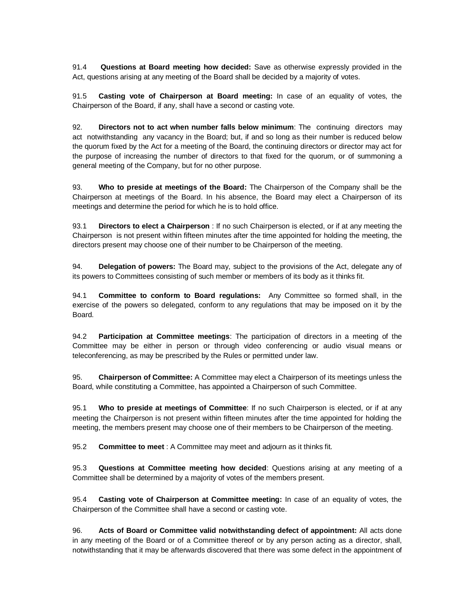91.4 **Questions at Board meeting how decided:** Save as otherwise expressly provided in the Act, questions arising at any meeting of the Board shall be decided by a majority of votes.

91.5 **Casting vote of Chairperson at Board meeting:** In case of an equality of votes, the Chairperson of the Board, if any, shall have a second or casting vote.

92. **Directors not to act when number falls below minimum**: The continuing directors may act notwithstanding any vacancy in the Board; but, if and so long as their number is reduced below the quorum fixed by the Act for a meeting of the Board, the continuing directors or director may act for the purpose of increasing the number of directors to that fixed for the quorum, or of summoning a general meeting of the Company, but for no other purpose.

93. **Who to preside at meetings of the Board:** The Chairperson of the Company shall be the Chairperson at meetings of the Board. In his absence, the Board may elect a Chairperson of its meetings and determine the period for which he is to hold office.

93.1 **Directors to elect a Chairperson** : If no such Chairperson is elected, or if at any meeting the Chairperson is not present within fifteen minutes after the time appointed for holding the meeting, the directors present may choose one of their number to be Chairperson of the meeting.

94. **Delegation of powers:** The Board may, subject to the provisions of the Act, delegate any of its powers to Committees consisting of such member or members of its body as it thinks fit.

94.1 **Committee to conform to Board regulations:** Any Committee so formed shall, in the exercise of the powers so delegated, conform to any regulations that may be imposed on it by the Board.

94.2 **Participation at Committee meetings**: The participation of directors in a meeting of the Committee may be either in person or through video conferencing or audio visual means or teleconferencing, as may be prescribed by the Rules or permitted under law.

95. **Chairperson of Committee:** A Committee may elect a Chairperson of its meetings unless the Board, while constituting a Committee, has appointed a Chairperson of such Committee.

95.1 **Who to preside at meetings of Committee**: If no such Chairperson is elected, or if at any meeting the Chairperson is not present within fifteen minutes after the time appointed for holding the meeting, the members present may choose one of their members to be Chairperson of the meeting.

95.2 **Committee to meet** : A Committee may meet and adjourn as it thinks fit.

95.3 **Questions at Committee meeting how decided**: Questions arising at any meeting of a Committee shall be determined by a majority of votes of the members present.

95.4 **Casting vote of Chairperson at Committee meeting:** In case of an equality of votes, the Chairperson of the Committee shall have a second or casting vote.

96. **Acts of Board or Committee valid notwithstanding defect of appointment:** All acts done in any meeting of the Board or of a Committee thereof or by any person acting as a director, shall, notwithstanding that it may be afterwards discovered that there was some defect in the appointment of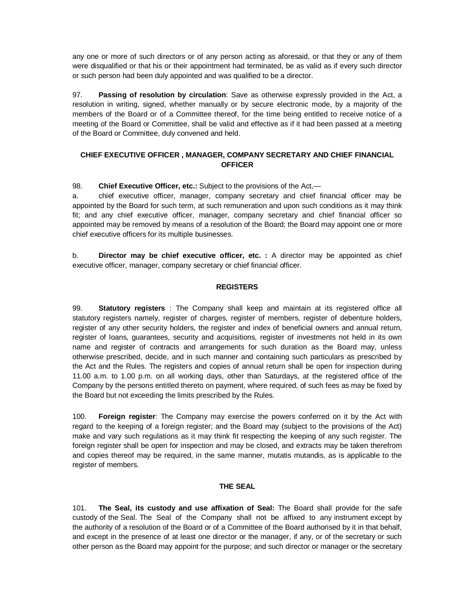any one or more of such directors or of any person acting as aforesaid, or that they or any of them were disqualified or that his or their appointment had terminated, be as valid as if every such director or such person had been duly appointed and was qualified to be a director.

97. **Passing of resolution by circulation**: Save as otherwise expressly provided in the Act, a resolution in writing, signed, whether manually or by secure electronic mode, by a majority of the members of the Board or of a Committee thereof, for the time being entitled to receive notice of a meeting of the Board or Committee, shall be valid and effective as if it had been passed at a meeting of the Board or Committee, duly convened and held.

# **CHIEF EXECUTIVE OFFICER , MANAGER, COMPANY SECRETARY AND CHIEF FINANCIAL OFFICER**

98. **Chief Executive Officer, etc.:** Subject to the provisions of the Act,—

a. chief executive officer, manager, company secretary and chief financial officer may be appointed by the Board for such term, at such remuneration and upon such conditions as it may think fit; and any chief executive officer, manager, company secretary and chief financial officer so appointed may be removed by means of a resolution of the Board; the Board may appoint one or more chief executive officers for its multiple businesses.

b. **Director may be chief executive officer, etc. :** A director may be appointed as chief executive officer, manager, company secretary or chief financial officer.

# **REGISTERS**

99. **Statutory registers** : The Company shall keep and maintain at its registered office all statutory registers namely, register of charges, register of members, register of debenture holders, register of any other security holders, the register and index of beneficial owners and annual return, register of loans, guarantees, security and acquisitions, register of investments not held in its own name and register of contracts and arrangements for such duration as the Board may, unless otherwise prescribed, decide, and in such manner and containing such particulars as prescribed by the Act and the Rules. The registers and copies of annual return shall be open for inspection during 11.00 a.m. to 1.00 p.m. on all working days, other than Saturdays, at the registered office of the Company by the persons entitled thereto on payment, where required, of such fees as may be fixed by the Board but not exceeding the limits prescribed by the Rules.

100. **Foreign register**: The Company may exercise the powers conferred on it by the Act with regard to the keeping of a foreign register; and the Board may (subject to the provisions of the Act) make and vary such regulations as it may think fit respecting the keeping of any such register. The foreign register shall be open for inspection and may be closed, and extracts may be taken therefrom and copies thereof may be required, in the same manner, mutatis mutandis, as is applicable to the register of members.

### **THE SEAL**

101. **The Seal, its custody and use affixation of Seal:** The Board shall provide for the safe custody of the Seal. The Seal of the Company shall not be affixed to any instrument except by the authority of a resolution of the Board or of a Committee of the Board authorised by it in that behalf, and except in the presence of at least one director or the manager, if any, or of the secretary or such other person as the Board may appoint for the purpose; and such director or manager or the secretary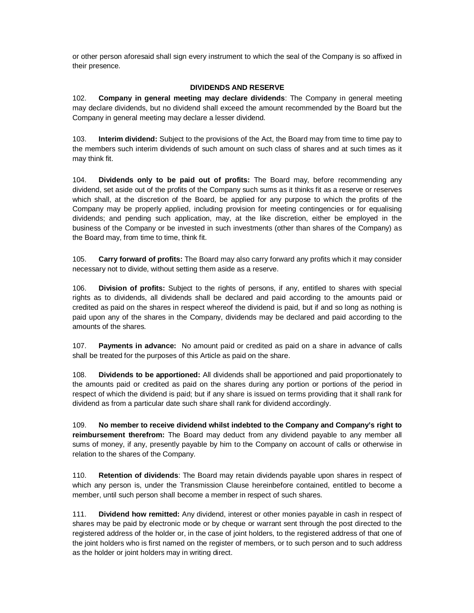or other person aforesaid shall sign every instrument to which the seal of the Company is so affixed in their presence.

# **DIVIDENDS AND RESERVE**

102. **Company in general meeting may declare dividends**: The Company in general meeting may declare dividends, but no dividend shall exceed the amount recommended by the Board but the Company in general meeting may declare a lesser dividend.

103. **Interim dividend:** Subject to the provisions of the Act, the Board may from time to time pay to the members such interim dividends of such amount on such class of shares and at such times as it may think fit.

104. **Dividends only to be paid out of profits:** The Board may, before recommending any dividend, set aside out of the profits of the Company such sums as it thinks fit as a reserve or reserves which shall, at the discretion of the Board, be applied for any purpose to which the profits of the Company may be properly applied, including provision for meeting contingencies or for equalising dividends; and pending such application, may, at the like discretion, either be employed in the business of the Company or be invested in such investments (other than shares of the Company) as the Board may, from time to time, think fit.

105. **Carry forward of profits:** The Board may also carry forward any profits which it may consider necessary not to divide, without setting them aside as a reserve.

106. **Division of profits:** Subject to the rights of persons, if any, entitled to shares with special rights as to dividends, all dividends shall be declared and paid according to the amounts paid or credited as paid on the shares in respect whereof the dividend is paid, but if and so long as nothing is paid upon any of the shares in the Company, dividends may be declared and paid according to the amounts of the shares.

107. **Payments in advance:** No amount paid or credited as paid on a share in advance of calls shall be treated for the purposes of this Article as paid on the share.

108. **Dividends to be apportioned:** All dividends shall be apportioned and paid proportionately to the amounts paid or credited as paid on the shares during any portion or portions of the period in respect of which the dividend is paid; but if any share is issued on terms providing that it shall rank for dividend as from a particular date such share shall rank for dividend accordingly.

109. **No member to receive dividend whilst indebted to the Company and Company's right to reimbursement therefrom:** The Board may deduct from any dividend payable to any member all sums of money, if any, presently payable by him to the Company on account of calls or otherwise in relation to the shares of the Company.

110. **Retention of dividends**: The Board may retain dividends payable upon shares in respect of which any person is, under the Transmission Clause hereinbefore contained, entitled to become a member, until such person shall become a member in respect of such shares.

111. **Dividend how remitted:** Any dividend, interest or other monies payable in cash in respect of shares may be paid by electronic mode or by cheque or warrant sent through the post directed to the registered address of the holder or, in the case of joint holders, to the registered address of that one of the joint holders who is first named on the register of members, or to such person and to such address as the holder or joint holders may in writing direct.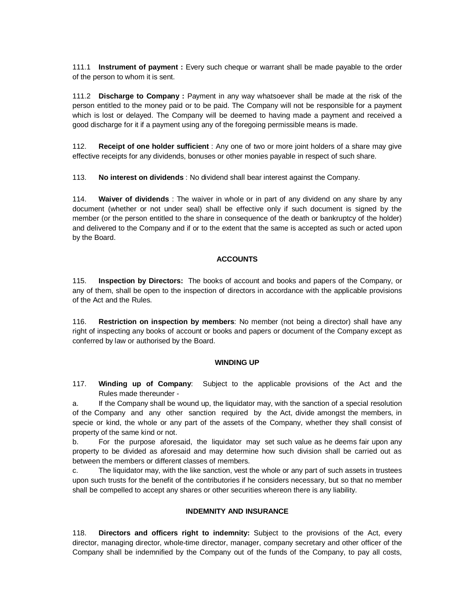111.1 **Instrument of payment :** Every such cheque or warrant shall be made payable to the order of the person to whom it is sent.

111.2 **Discharge to Company :** Payment in any way whatsoever shall be made at the risk of the person entitled to the money paid or to be paid. The Company will not be responsible for a payment which is lost or delayed. The Company will be deemed to having made a payment and received a good discharge for it if a payment using any of the foregoing permissible means is made.

112. **Receipt of one holder sufficient** : Any one of two or more joint holders of a share may give effective receipts for any dividends, bonuses or other monies payable in respect of such share.

113. **No interest on dividends** : No dividend shall bear interest against the Company.

114. **Waiver of dividends** : The waiver in whole or in part of any dividend on any share by any document (whether or not under seal) shall be effective only if such document is signed by the member (or the person entitled to the share in consequence of the death or bankruptcy of the holder) and delivered to the Company and if or to the extent that the same is accepted as such or acted upon by the Board.

#### **ACCOUNTS**

115. **Inspection by Directors:** The books of account and books and papers of the Company, or any of them, shall be open to the inspection of directors in accordance with the applicable provisions of the Act and the Rules.

116. **Restriction on inspection by members**: No member (not being a director) shall have any right of inspecting any books of account or books and papers or document of the Company except as conferred by law or authorised by the Board.

#### **WINDING UP**

117. **Winding up of Company**: Subject to the applicable provisions of the Act and the Rules made thereunder -

a. If the Company shall be wound up, the liquidator may, with the sanction of a special resolution of the Company and any other sanction required by the Act, divide amongst the members, in specie or kind, the whole or any part of the assets of the Company, whether they shall consist of property of the same kind or not.

b. For the purpose aforesaid, the liquidator may set such value as he deems fair upon any property to be divided as aforesaid and may determine how such division shall be carried out as between the members or different classes of members.

c. The liquidator may, with the like sanction, vest the whole or any part of such assets in trustees upon such trusts for the benefit of the contributories if he considers necessary, but so that no member shall be compelled to accept any shares or other securities whereon there is any liability.

### **INDEMNITY AND INSURANCE**

118. **Directors and officers right to indemnity:** Subject to the provisions of the Act, every director, managing director, whole-time director, manager, company secretary and other officer of the Company shall be indemnified by the Company out of the funds of the Company, to pay all costs,